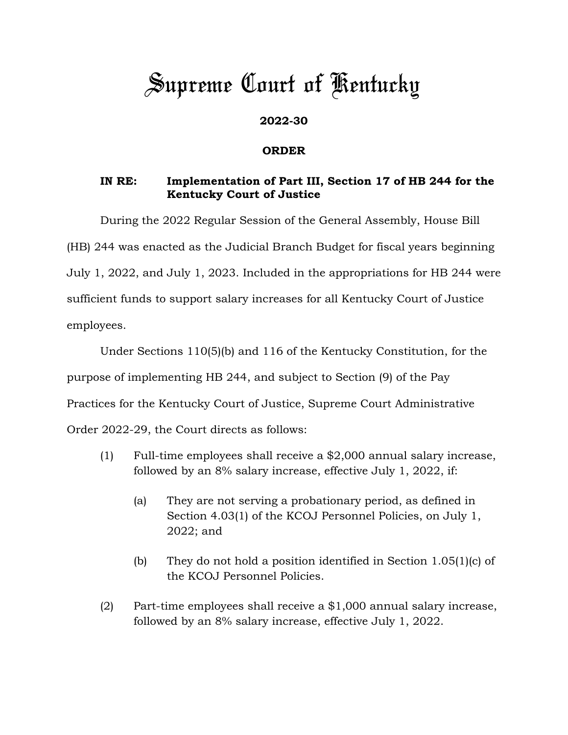## *Supreme Court of Kentucky*

## **2022-30**

## **ORDER**

## **IN RE: Implementation of Part III, Section 17 of HB 244 for the Kentucky Court of Justice**

During the 2022 Regular Session of the General Assembly, House Bill (HB) 244 was enacted as the Judicial Branch Budget for fiscal years beginning July 1, 2022, and July 1, 2023. Included in the appropriations for HB 244 were sufficient funds to support salary increases for all Kentucky Court of Justice employees.

Under Sections 110(5)(b) and 116 of the Kentucky Constitution, for the purpose of implementing HB 244, and subject to Section (9) of the Pay Practices for the Kentucky Court of Justice, Supreme Court Administrative Order 2022-29, the Court directs as follows:

- (1) Full-time employees shall receive a \$2,000 annual salary increase, followed by an 8% salary increase, effective July 1, 2022, if:
	- (a) They are not serving a probationary period, as defined in Section 4.03(1) of the KCOJ Personnel Policies, on July 1, 2022; and
	- (b) They do not hold a position identified in Section 1.05(1)(c) of the KCOJ Personnel Policies.
- (2) Part-time employees shall receive a  $$1,000$  annual salary increase, followed by an 8% salary increase, effective July 1, 2022.